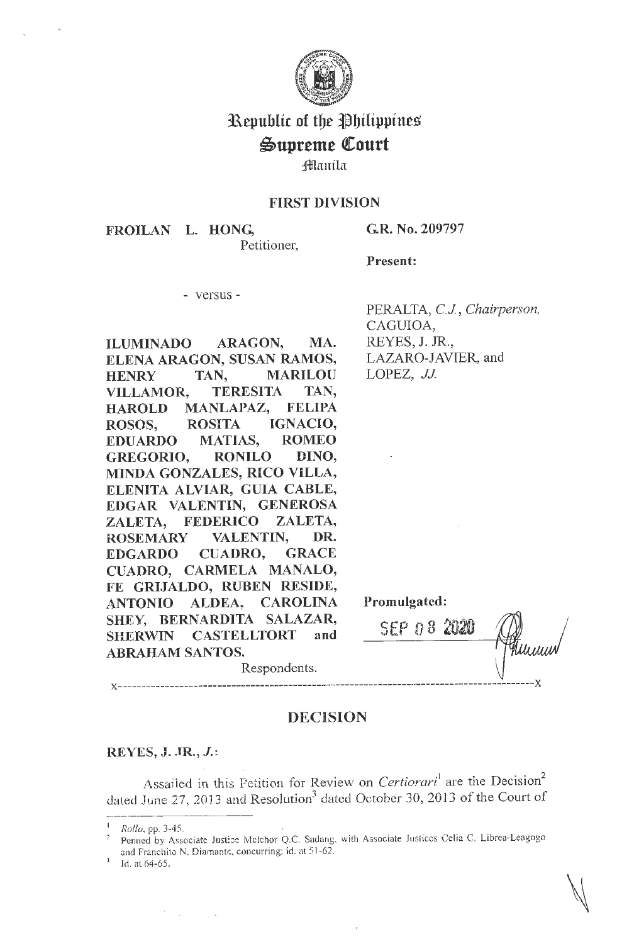

# Republic of the Philippines Supreme Court

# fflaniln

## FIRST DIVISION

FROILAN L. HONG,

Petitioner,

G.R. No. 209797

Present:

- versus -

**ILUMINADO ARAGON, MA. ELENA ARAGON, SUSAN RAMOS, HENRY TAN, MARILOU VILLAMOR, TERESITA TAN, HAROLD MANLAPAZ, FELIPA ROSOS, ROSITA IGNACIO, EDUARDO MATIAS, ROMEO GREGORIO, RONILO DINO, MINDA GONZALES, RICO VILLA, ELENITA ALVIAR, GUIA CABLE, EDGAR VALENTIN, GENEROSA ZALETA, FEDERICO ZALETA, ROSEMARY VALENTIN, DR. EDGARDO CUADRO, GRACE CUADRO, CARMELA MANALO, FE GRIJALDO, RUBEN RESIDE, ANTONIO ALDEA, CAROLINA SHEY, BERNARDITA SALAZAR, SHERWIN CASTELLTORT and ABRAHAM SANTOS.** 

PERALTA, CJ, *Chairperson,*  CAGUIOA, REYES, J. JR., LAZARO-JAVIER, and LOPEZ, *JJ*.

SEP [) 8 **'2020** 

**Promulgated:** 

## **DECISION**

**x----------------------------------------------------------------------------------------x** 

Respondents.

## **REYES, J. JR.,** *J.* <sup>~</sup>

Assailed in this Petition for Review on *Certiorari*<sup>1</sup> are the Decision<sup>2</sup> Assailed in this Featuon for Neview on Certiorary are the Decision<br>dated June 27, 2013 and Resolution<sup>3</sup> dated October 30, 2013 of the Court of

<sup>1</sup>*Rollo,* pp. 3-45.

Penned by Associate Justice Melchor Q.C. Sadang, with Associate Justices Celia C. Librea-Leagogo and Franchito N. Diamante, concurring; id. at 51-62.

Id. at 64-65.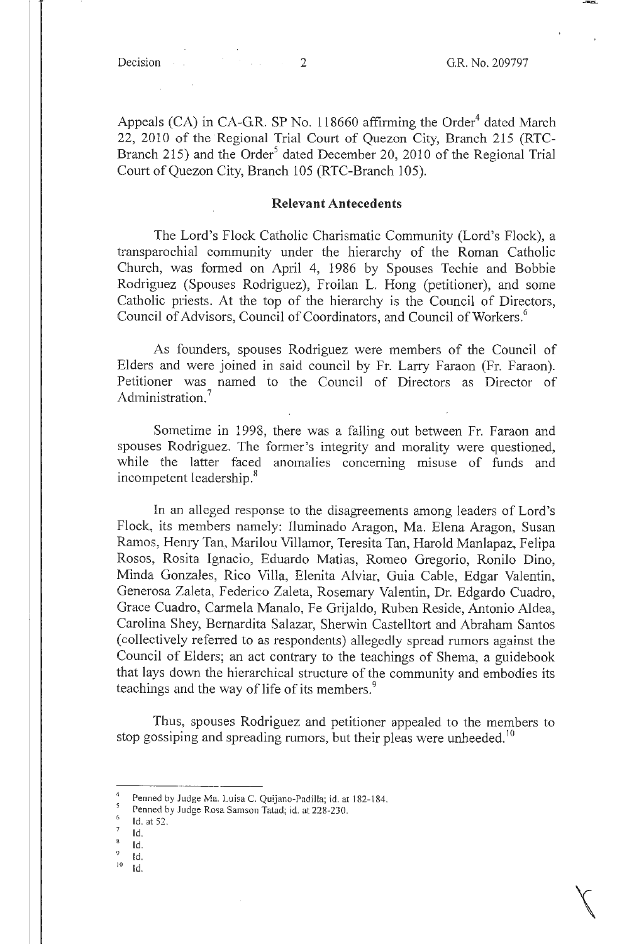Appeals (CA) in CA-GR. SP No. 118660 affirming the Order<sup>4</sup> dated March 22, 2010 of the Regional Trial Court of Quezon City, Branch 215 (RTC-Branch 215) and the Order<sup>5</sup> dated December 20, 2010 of the Regional Trial Court of Quezon City, Branch 105 (RTC-Branch 105).

#### **Relevant Antecedents**

The Lord's Flock Catholic Charismatic Community (Lord's Flock), a transparochial community under the hierarchy of the Roman Catholic Church, was formed on April 4, 1986 by Spouses Techie and Bobbie Rodriguez (Spouses Rodriguez), Froilan L. Hong (petitioner), and some Catholic priests. At the top of the hierarchy is the Council of Directors, Council of Advisors, Council of Coordinators, and Council of Workers.<sup>6</sup>

As founders, spouses Rodriguez were members of the Council of Elders and were joined in said council by Fr. Larry Faraon (Fr. Faraon). Petitioner was named to the Council of Directors as Director of Administration.<sup>7</sup>

Sometime in 1998, there was a falling out between Fr. Faraon and spouses Rodriguez. The former's integrity and morality were questioned, while the latter faced anomalies concerning misuse of funds and incompetent leadership.<sup>8</sup>

In an alleged response to the disagreements among leaders of Lord's Flock, its members namely: Iluminada Aragon, Ma. Elena Aragon, Susan Ramos, Henry Tan, Marilou Villamor, Teresita Tan, Harold Manlapaz, Felipa Rosos, Rosita Ignacio, Eduardo Matias, Romeo Gregorio, Ronilo Dino, Minda Gonzales, Rico Villa, Elenita Alviar, Guia Cable, Edgar Valentin, Generosa Zaleta, Federico Zaleta, Rosemary Valentin, Dr. Edgardo Cuadro, Grace Cuadro, Carmela Manalo, Fe Grijaldo, Ruben Reside, Antonio Aldea, Carolina Shey, Bernardita Salazar, Sherwin Castelltort and Abraham Santos (collectively referred to as respondents) allegedly spread rumors against the Council of Eiders; an act contrary to the teachings of Shema, a guidebook that lays down the hierarchical structure of the community and embodies its teachings and the way of life of its members.<sup>9</sup>

Thus, spouses Rodriguez and petitioner appealed to the members to stop gossiping and spreading rumors, but their pleas were unheeded.<sup>10</sup>

- 
- 
- 

Penned by Judge Ma. Luisa C. Quijano-Padilla; id. at 182-184.

Penned by Judge Rosa Samson Tatad; id. at 228-230.<br>
<sup>6</sup>Id. at 52.<br>
<sup>8</sup>Id. <sup>8</sup>Id. <sup>9</sup>Id. <sup>9</sup>Id.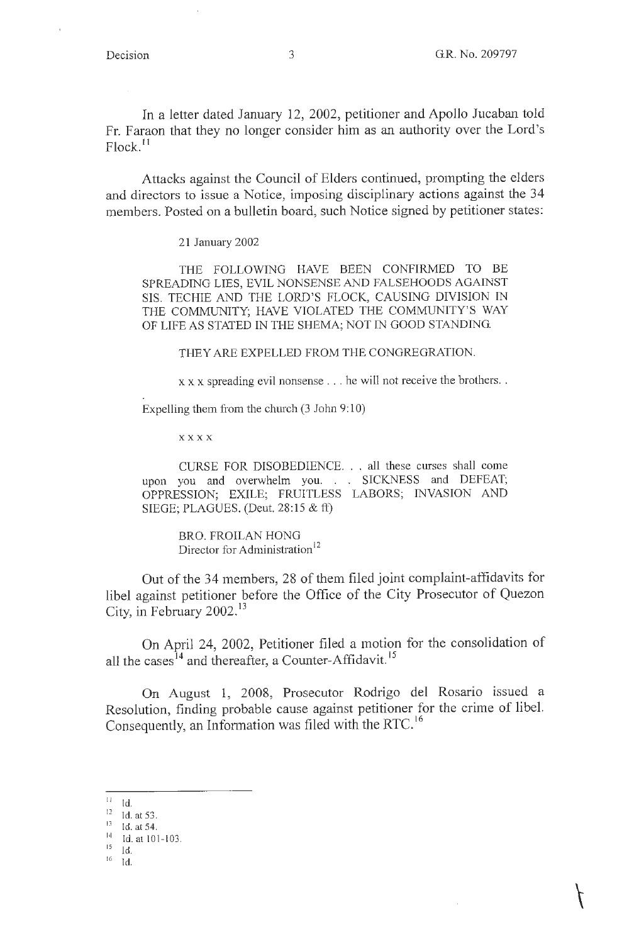In a letter dated January 12, 2002, petitioner and Apollo Jucaban told Fr. Faraon that they no longer consider him as an authority over the Lord's Flock.<sup>11</sup>

Attacks against the Council of Elders continued, prompting the elders and directors to issue a Notice, imposing disciplinary actions against the 34 members. Posted on a bulletin board, such Notice signed by petitioner states:

21 January 2002

THE FOLLOWING HAVE BEEN CONFIRMED TO BE SPREADING LIES, EVIL NONSENSE AND FALSEHOODS AGAINST SIS. TECHIE AND THE LORD'S FLOCK, CAUSING DIVISION IN THE COMMUNITY; HAVE VIOLATED THE COMMUNITY'S WAY OF LIFE AS STATED IN THE SHEMA; NOT IN GOOD STANDING.

THEY ARE EXPELLED FROM THE CONGREGRATION.

 $x \times x$  spreading evil nonsense . . . he will not receive the brothers. .

Expelling them from the church  $(3$  John  $9:10)$ 

**xxxx** 

CURSE FOR DISOBEDIENCE ... all these curses shall come upon you and overwhelm you. . . SICKNESS and DEFEAT; OPPRESSION; EXILE; FRUITLESS LABORS; INVASION AND SIEGE; PLAGUES. (Deut. 28:15 & ft)

BRO. FROILAN HONG Director for Administration<sup>12</sup>

Out of the 34 members, 28 of them filed joint complaint-affidavits for libel against petitioner before the Office of the City Prosecutor of Quezon City, in February 2002.<sup>13</sup>

On April 24, 2002, Petitioner filed a motion for the consolidation of all the cases<sup>14</sup> and thereafter, a Counter-Affidavit.<sup>15</sup>

On August 1, 2008, Prosecutor Rodrigo del Rosario issued a Resolution, finding probable cause against petitioner for the crime of libel. Consequently, an Information was filed with the RTC.<sup>16</sup>

 $^{11}$  Id.

 $^{16}$  Id.

 $\frac{12}{13}$  Id. at 53.

<sup>13</sup> Id. at 54.

<sup>1</sup> ' $\frac{14}{15}$  Id. at 101-103.

Id.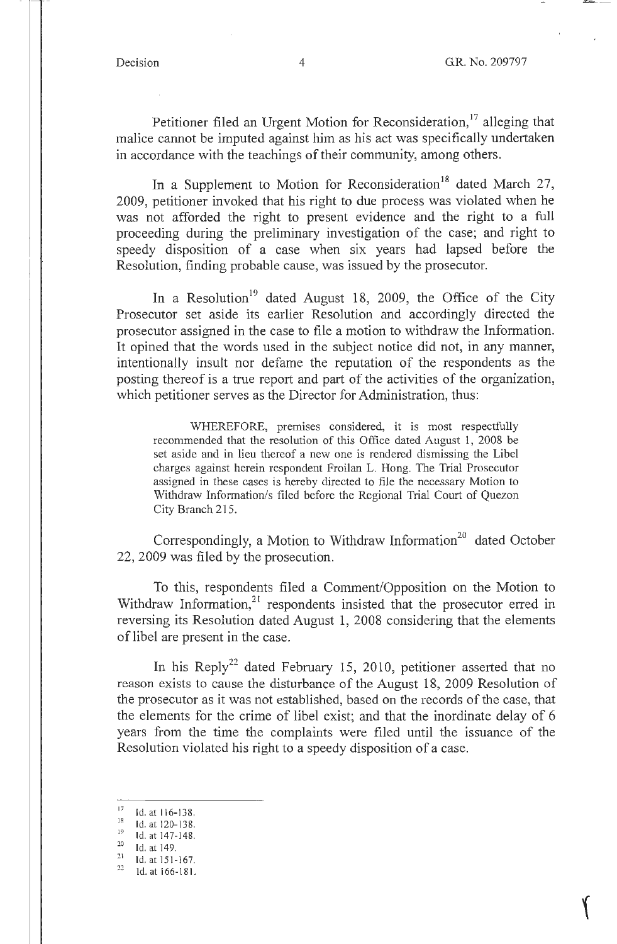Petitioner filed an Urgent Motion for Reconsideration,<sup>17</sup> alleging that malice cannot be imputed against him as his act was specifically undertaken in accordance with the teachings of their community, among others.

In a Supplement to Motion for Reconsideration<sup>18</sup> dated March 27, 2009, petitioner invoked that his right to due process was violated when he was not afforded the right to present evidence and the right to a full proceeding during the preliminary investigation of the case; and right to speedy disposition of a case when six years had lapsed before the Resolution, finding probable cause, was issued by the prosecutor.

In a Resolution<sup>19</sup> dated August 18, 2009, the Office of the City Prosecutor set aside its earlier Resolution and accordingly directed the prosecutor assigned in the case to file a motion to withdraw the Information. It opined that the words used in the subject notice did not, in any manner, intentionally insult nor defame the reputation of the respondents as the posting thereof is a true report and part of the activities of the organization, which petitioner serves as the Director for Administration, thus:

WHEREFORE, premises considered, it is most respectfully recommended that the resolution of this Office dated August 1, 2008 be set aside and in lieu thereof a new one is rendered dismissing the Libel charges against herein respondent Froilan L. Hong. The Trial Prosecutor assigned in these cases is hereby directed to file the necessary Motion to Withdraw Information/s filed before the Regional Trial Court of Quezon City Branch 215.

Correspondingly, a Motion to Withdraw Information<sup>20</sup> dated October 22, 2009 was filed by the prosecution.

To this, respondents filed a Comment/Opposition on the Motion to Withdraw Information, $2^1$  respondents insisted that the prosecutor erred in reversing its Resolution dated August 1, 2008 considering that the elements of libel are present in the case.

In his Reply<sup>22</sup> dated February 15, 2010, petitioner asserted that no reason exists to cause the disturbance of the August 18, 2009 Resolution of the prosecutor as it was not established, based on the records of the case, that the elements for the crime of libel exist; and that the inordinate delay of 6 years from the time the complaints were filed until the issuance of the Resolution violated his right to a speedy disposition of a case.

 $\frac{17}{18}$  Id. at 116-138.

<sup>&</sup>lt;sup>18</sup> Id. at 120-138.<br><sup>19</sup> Id. at 147-148.

 $\frac{20}{21}$  Id. at 149.

 $\frac{21}{22}$  Id. at 151-167.<br> $\frac{22}{10}$  at 166-181.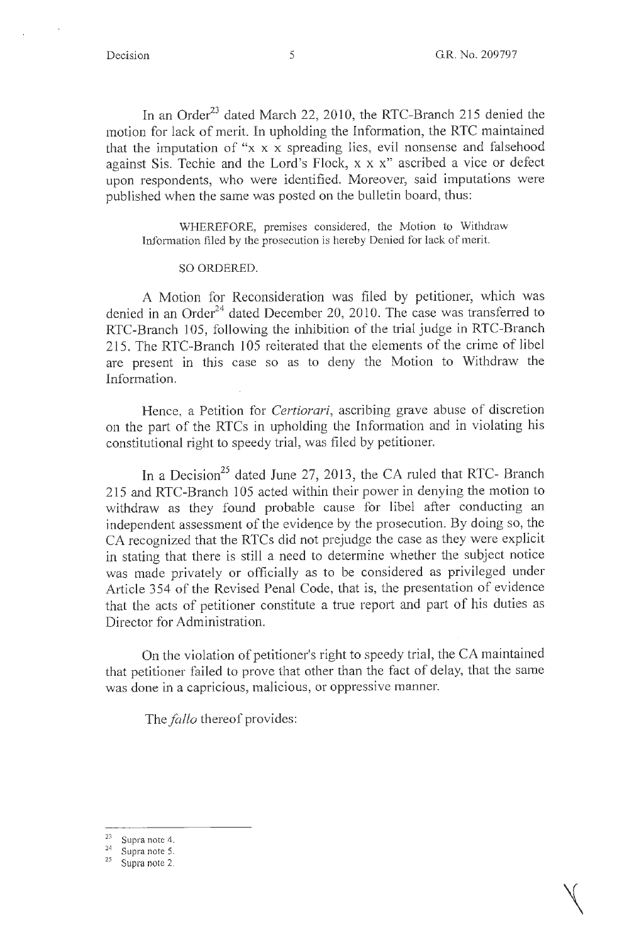In an Order<sup>23</sup> dated March 22, 2010, the RTC-Branch 215 denied the motion for lack of merit. In upholding the Information, the RTC maintained that the imputation of "x x x spreading lies, evil nonsense and falsehood against Sis. Techie and the Lord's Flock, x x x" ascribed a vice or defect upon respondents, who were identified. Moreover, said imputations were published when the same was posted on the bulletin board, thus:

WHEREFORE, premises considered, the Motion to Withdraw Information filed by the prosecution is hereby Denied for lack of merit.

#### SO ORDERED.

A Motion for Reconsideration was filed by petitioner, which was denied in an Order<sup>24</sup> dated December 20, 2010. The case was transferred to RTC-Branch 105, following the inhibition of the trial judge in RTC-Branch 215. The RTC-Branch 105 reiterated that the elements of the crime of libel are present in this case so as to deny the Motion to Withdraw the Information.

Hence, a Petition for *Certiorari,* ascribing grave abuse of discretion on the part of the RTCs in upholding the Information and in violating his constitutional right to speedy trial, was filed by petitioner.

In a Decision<sup>25</sup> dated June 27, 2013, the CA ruled that RTC- Branch 215 and RTC-Branch 105 acted within their power in denying the motion to withdraw as they found probable cause for libel after conducting an independent assessment of the evidence by the prosecution. By doing so, the CA recognized that the RTCs did not prejudge the case as they were explicit in stating that there is still a need to determine whether the subject notice was made privately or officially as to be considered as privileged under Article 354 of the Revised Penal Code, that is, the presentation of evidence that the acts of petitioner constitute a true report and part of his duties as Director for Administration.

On the violation of petitioner's right to speedy trial, the CA maintained that petitioner failed to prove that other than the fact of delay, that the same was done in a capricious, malicious, or oppressive manner.

The *fallo* thereof provides:

 $\frac{23}{24}$  Supra note 4.<br>  $\frac{24}{25}$  Supra note 2.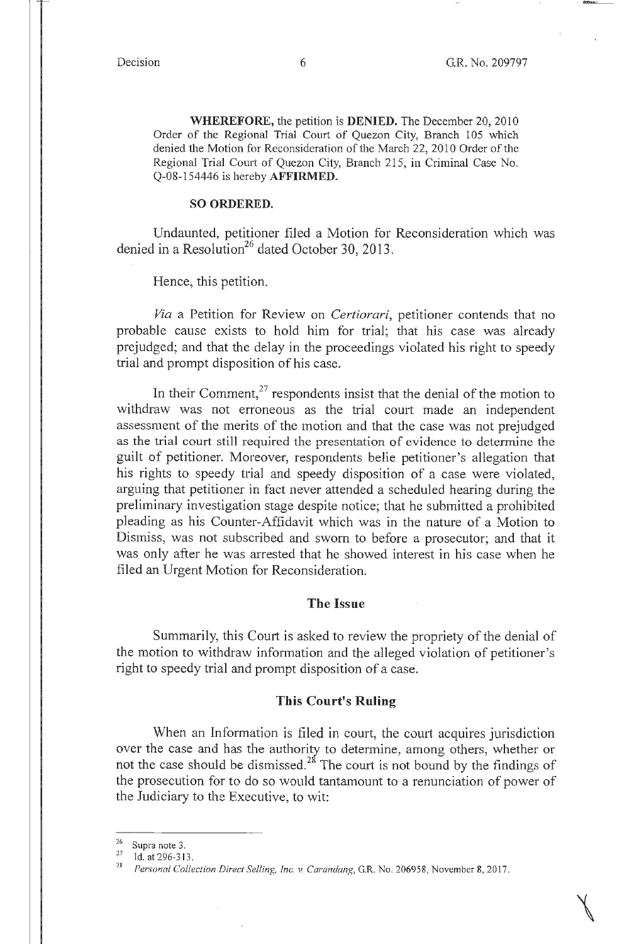$\bigwedge$ 

**WHEREFORE,** the petition is **DENIED.** The December 20, 2010 Order of the Regional Trial Court of Quezon City, Branch 105 which denied the Motion for Reconsideration of the March 22, 2010 Order of the Regional Trial Court of Quezon City, Branch 215, in Criminal Case No. Q-08-154446 is hereby **AFFIRMED.** 

#### **SO ORDERED.**

Undaunted, petitioner filed a Motion for Reconsideration which was denied in a Resolution<sup>26</sup> dated October 30, 2013.

Hence, this petition.

*Via* a Petition for Review on *Certiorari,* petitioner contends that no probable cause exists to hold him for trial; that his case was already prejudged; and that the delay in the proceedings violated his right to speedy trial and prompt disposition of his case.

In their Comment, $27$  respondents insist that the denial of the motion to withdraw was not erroneous as the trial court made an independent assessment of the merits of the motion and that the case was not prejudged as the trial court still required the presentation of evidence to determine the guilt of petitioner. Moreover, respondents belie petitioner's allegation that his rights to speedy trial and speedy disposition of a case were violated, arguing that petitioner in fact never attended a scheduled hearing during the preliminary investigation stage despite notice; that he submitted a prohibited pleading as his Counter-Affidavit which was in the nature of a Motion to Dismiss, was not subscribed and sworn to before a prosecutor; and that it was only after he was arrested that he showed interest in his case when he filed an Urgent Motion for Reconsideration.

#### **The Issue**

Summarily, this Court is asked to review the propriety of the denial of the motion to withdraw information and the alleged violation of petitioner's right to speedy trial and prompt disposition of a case.

### **This Court's Ruling**

When an Information is filed in court, the court acquires jurisdiction over the case and has the authority to determine, among others, whether or not the case should be dismissed.<sup>28</sup> The court is not bound by the findings of the prosecution for to do so would tantamount to a renunciation of power of the Judiciary to the Executive, to wit:

<sup>&</sup>lt;sup>26</sup> Supra note 3.<br><sup>27</sup> Id. at 296-313.<br><sup>28</sup> *Personal Collection Direct Selling, Inc. v. Carandang*, G.R. No. 206958, November 8, 2017.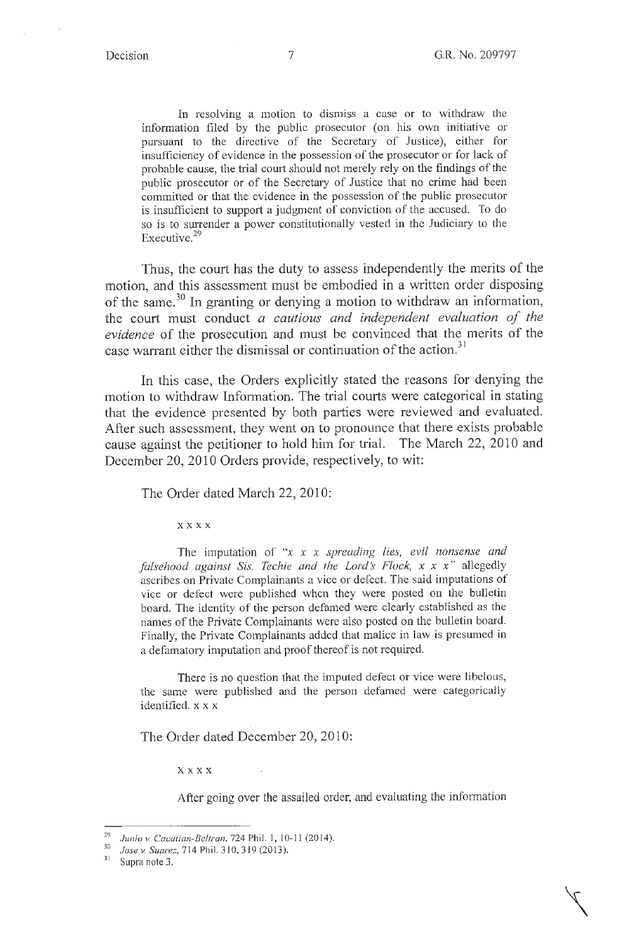In resolving a motion to dismiss a case or to withdraw the information filed by the public prosecutor (on his own initiative or pursuant to the directive of the Secretary of Justice), either for insufficiency of evidence in the possession of the prosecutor or for lack of probable cause, the trial court should not merely rely on the findings of the public prosecutor or of the Secretary of Justice that no crime had been committed or that the evidence in the possession of the public prosecutor is insufficient to support a judgment of conviction of the accused. To do so is to surrender a power constitutionally vested in the Judiciary to the Executive.<sup>29</sup>

Thus, the court has the duty to assess independently the merits of the motion, and this assessment must be embodied in a written order disposing of the same.<sup>30</sup> In granting or denying a motion to withdraw an information, the court must conduct *a cautious and independent evaluation of the evidence* of the prosecution and must be convinced that the merits of the case warrant either the dismissal or continuation of the action. $31$ 

In this case, the Orders explicitly stated the reasons for denying the motion to withdraw Information. The trial courts were categorical in stating that the evidence presented by both parties were reviewed and evaluated. After such assessment, they went on to pronounce that there exists probable cause against the petitioner to hold him for trial. The March 22, 2010 and December 20, 2010 Orders provide, respectively, to wit:

The Order dated March 22, 2010:

**xxxx** 

The imputation of *"x x x spreading lies, evil nonsense and falsehood against Sis. Techie and the Lord's Flock, x x x"* allegedly ascribes on Private Complainants a vice or defect. The said imputations of vice or defect were published when they were posted on the bulletin board. The identity of the person defamed were clearly established as the names of the Private Complainants were also posted on the bulletin board. Finally, the Private Complainants added that malice in law is presumed in a defamatory imputation and proof thereof is not required.

There is no question that the imputed defect or vice were libelous, the same were published and the person defamed were categorically identified. x x x

The Order dated December 20, 2010:

**xxxx** 

After going over the assailed order, and evaluating the information

<sup>&</sup>lt;sup>29</sup> Junio v. Cacatian-Beltran, 724 Phil. 1, 10-11 (2014).<br><sup>30</sup> *Jose v. Suarez*, 714 Phil. 310, 319 (2013).<br><sup>31</sup> Sunga pata <sup>2</sup>.

Supra note 3.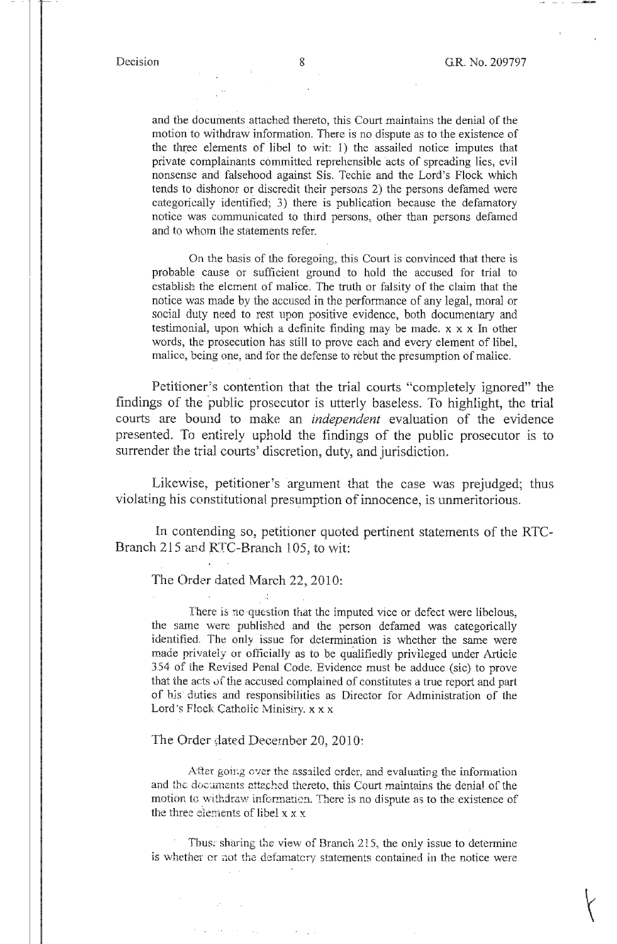and the documents attached thereto, this Court maintains the denial of the motion to withdraw information. There is no dispute as to the existence of the three elements of libel to wit: 1) the assailed notice imputes that private complainants committed reprehensible acts of spreading lies, evil nonsense and falsehood against Sis. Techie and the Lord's Flock which tends to dishonor or discredit their persons 2) the persons defamed were categorically identified; 3) there is publication because the defamatory notice was communicated to third persons, other than persons defamed and to whom the statements refer.

On the basis of the foregoing, this Court is convinced that there is probable cause or sufficient ground to hold the accused for trial to establish the element of malice. The truth or falsity of the claim that the notice was made by the accused in the performance of any legal, moral or social duty need to rest upon positive evidence, both documentary and testimonial, upon which a definite finding may be made. x x x In other words, the prosecution has still to prove each and every element of libel, malice, being one, and for the defense to rebut the presumption of malice.

Petitioner's contention that the trial courts "completely ignored" the findings of the public prosecutor is utterly baseless. To highlight, the trial courts are bound to make an *independent* evaluation of the evidence presented. To entirely uphold the findings of the public prosecutor is to surrender the trial courts' discretion, duty, and jurisdiction.

Likewise, petitioner's argument that the case was prejudged; thus violating his constitutional presumption of innocence, is unmeritorious.

In contending so, petitioner quoted pertinent statements of the RTC-Branch 215 and RTC-Branch 105; to wit:

The Order dated March 22, 2010:

There is no question that the imputed vice or defect were libelous, the same were published and the person defamed was categorically identified. The only issue for determination is whether the same were made privately or officially as to be qualifiedly privileged under Article 354 of the Revised Penal Code. Evidence must be adduce (sic) to prove that the acts of the accused complained of constitutes a true report and part of bis· d'uties and responsibilities as Director for Administration of the Lord's Flock Catholic Ministry. x x x

#### The Order dated December 20, 2010:

**Carl Corporation** 

After going over the assailed order, and evaluating the information and the documents attached thereto, this Court maintains the denial of the motion to withdraw informatien. There is no dispute as to the existence of the three elements of libel  $x \times x$ 

Thus; sharing the view of Branch 215, the only issue to determine is whether er not the defamatcry statements contained in the notice were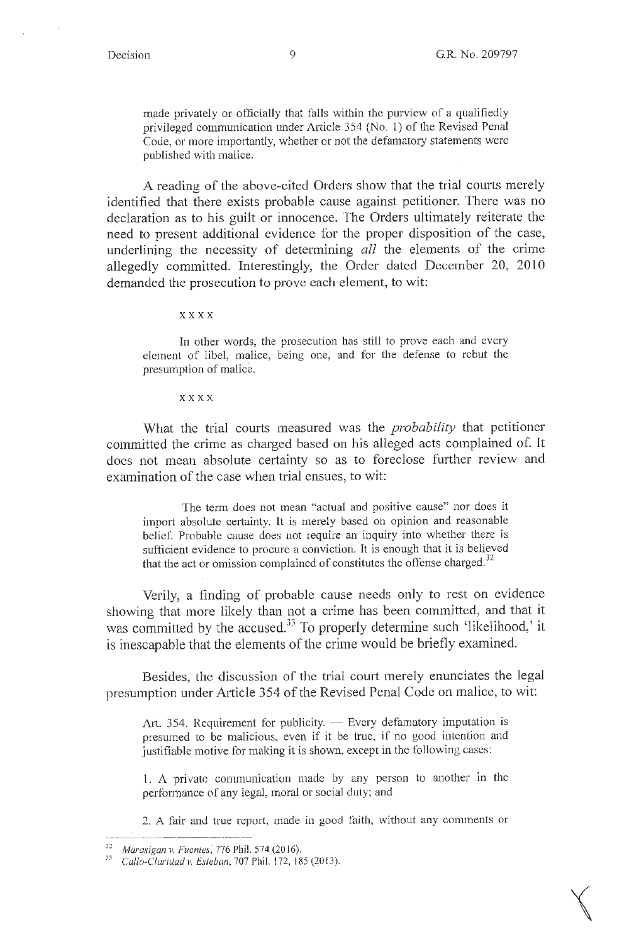made privately or officially that falls within the purview of a qualifiedly privileged communication under Article 354 (No. 1) of the Revised Penal Code, or more importantly, whether or not the defamatory statements were published with malice,

A reading of the above-cited Orders show that the trial courts merely identified that there exists probable cause against petitioner. There was no declaration as to his guilt or innocence. The Orders ultimately reiterate the need to present additional evidence for the proper disposition of the case, underlining the necessity of determining *all* the elements of the crime allegedly committed. Interestingly, the Order dated December 20, 2010 demanded the prosecution to prove each element, to wit:

**xxxx** 

In other words, the prosecution has still to prove each and every element of libel, malice, being one, and for the defense to rebut the presumption of malice.

**xxxx** 

What the trial courts measured was the *probability* that petitioner committed the crime as charged based on his alleged acts complained of. It does not mean absolute certainty so as to foreclose further review and examination of the case when trial ensues, to wit:

The term does not mean "actual and positive cause" nor does it import absolute certainty. It is merely based on opinion and reasonable belief. Probable cause does not require an inquiry into whether there is sufficient evidence to procure a conviction. It is enough that it is believed that the act or omission complained of constitutes the offense charged. $32$ 

Verily, a finding of probable cause needs only to rest on evidence showing that more likely than not a crime has been committed, and that it was committed by the accused.<sup>33</sup> To properly determine such 'likelihood,' it is inescapable that the elements of the crime would be briefly examined.

Besides, the discussion of the trial court merely enunciates the legal presumption under Article 354 of the Revised Penal Code on malice, to wit:

Art. 354. Requirement for publicity. - Every defamatory imputation is presumed to be malicious, even if it be true, if no good intention and justifiable motive for making it is shown, except in the following cases:

l. A private communication made by any person to another in the performance of any legal, moral or social duty; and

2. A fair and true report, made in good faith, without any comments or

<sup>&</sup>lt;sup>32</sup> Marasigan v. Fuentes, <sup>276</sup> Phil. 574 (2016).<br><sup>33</sup> *Callo-Claridad v. Esteban, 707 Phil. 172, 185 (2013).*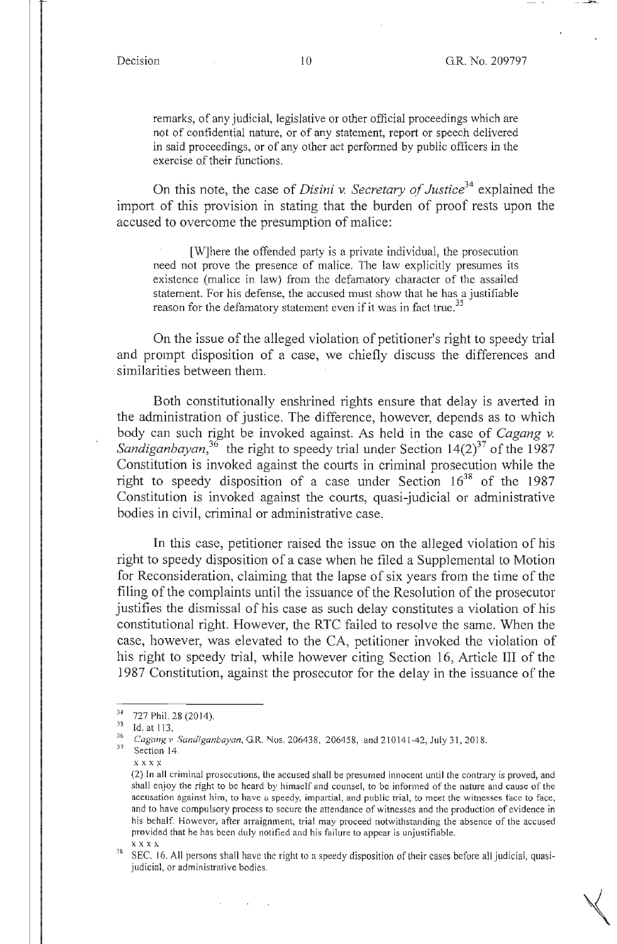remarks, of any judicial, legislative or other official proceedings which are not of confidential nature, or of any statement, report or speech delivered in said proceedings, or of any other act performed by public officers in the exercise of their functions.

On this note, the case of *Disini* v. *Secretary of Justice34* explained the import of this provision in stating that the burden of proof rests upon the accused to overcome the presumption of malice:

[W]here the offended party is a private individual, the prosecution need not prove the presence of malice. The law explicitly presumes its existence (malice in law) from the defamatory character of the assailed statement. For his defense, the accused must show that he has a justifiable reason for the defamatory statement even if it was in fact true.<sup>35</sup>

On the issue of the alleged violation of petitioner's right to speedy trial and prompt disposition of a case, we chiefly discuss the differences and similarities between them.

Both constitutionally enshrined rights ensure that delay is averted in the administration of justice. The difference, however, depends as to which body can such right be invoked against. As held in the case of *Cagang v.*  Sandiganbayan,<sup>36</sup> the right to speedy trial under Section 14(2)<sup>37</sup> of the 1987 Constitution is invoked against the courts in criminal prosecution while the right to speedy disposition of a case under Section  $16^{38}$  of the 1987 Constitution is invoked against the courts, quasi-judicial or administrative bodies in civil, criminal or administrative case.

In this case, petitioner raised the issue on the alleged violation of his right to speedy disposition of a case when he filed a Supplemental to Motion for Reconsideration, claiming that the lapse of six years from the time of the filing of the complaints until the issuance of the Resolution of the prosecutor justifies the dismissal of his case as such delay constitutes a violation of his constitutional right. However, the RTC failed to resolve the same. When the case, however, was elevated to the CA, petitioner invoked the violation of his right to speedy trial, while however citing Section 16, Article III of the 1987 Constitution, against the prosecutor for the delay in the issuance of the

<sup>&</sup>lt;sup>34</sup> 727 Phil. 28 (2014).

<sup>35</sup> Id. at 113.

 $^{36}$  Cagang v. Sandiganbayan, G.R. Nos. 206438, 206458, and 210141-42, July 31, 2018. Section 14.

xxxx

<sup>(2)</sup> In all criminal prosecutions, the accused shall be presumed innocent until the contrary is proved, and shall enjoy the right to be heard by himself and counsel, to be informed of the nature and cause of the accusation against him, to have u speedy, impartial, and public trial, to meet the witnesses face to face, and to have compulsory process to secure the attendance of witnesses and the production of evidence in his behalf. However, after arraignment, trial may proceed notwithstanding the absence of the accused provided that he has been duly notified and his failure to appear is unjustifiable.

 $x \times x \times x$ <br>38 SEC. 16. All persons shall have the right to a speedy disposition of their cases before all judicial, quasijudicial, or administrative bodies.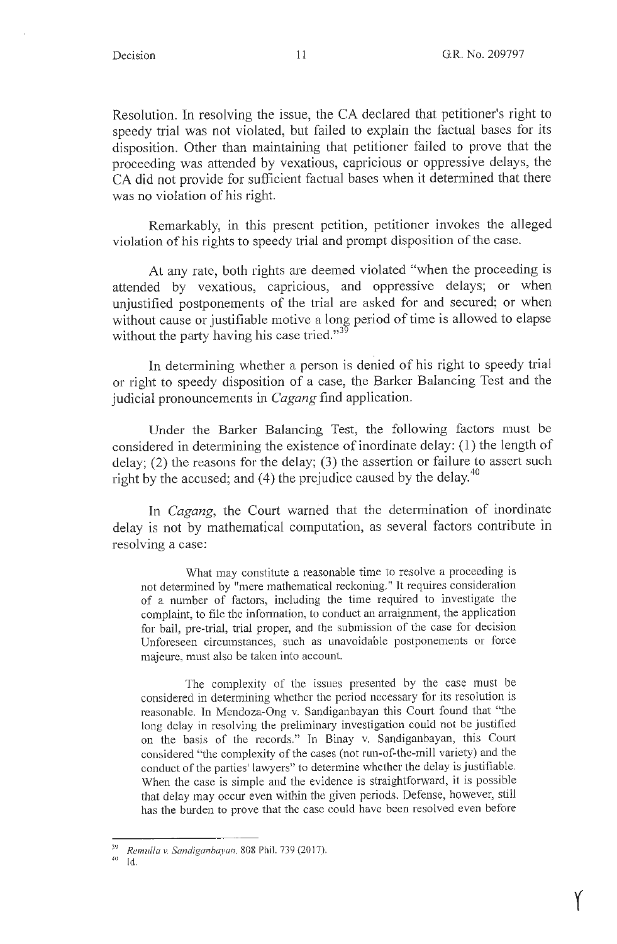y

Resolution. In resolving the issue, the CA declared that petitioner's right to speedy trial was not violated, but failed to explain the factual bases for its disposition. Other than maintaining that petitioner failed to prove that the proceeding was attended by vexatious, capricious or oppressive delays, the CA did not provide for sufficient factual bases when it determined that there was no violation of his right.

Remarkably, in this present petition, petitioner invokes the alleged violation of his rights to speedy trial and prompt disposition of the case.

At any rate, both rights are deemed violated "when the proceeding is attended by vexatious, capricious, and oppressive delays; or when unjustified postponements of the trial are asked for and secured; or when without cause or justifiable motive a long period of time is allowed to elapse without the party having his case tried."<sup>39</sup>

In determining whether a person is denied of his right to speedy trial or right to speedy disposition of a case, the Barker Balancing Test and the judicial pronouncements in *Cagang* find application.

Under the Barker Balancing Test, the following factors must be considered in determining the existence of inordinate delay: ( 1) the length of delay; (2) the reasons for the delay; (3) the assertion or failure to assert such right by the accused; and (4) the prejudice caused by the delay. $40$ 

In *Cagang*, the Court warned that the determination of inordinate delay is not by mathematical computation, as several factors contribute in resolving a case:

What may constitute a reasonable time to resolve a proceeding is not determined by "mere mathematical reckoning." It requires consideration of a number of factors, including the time required to investigate the complaint, to file the information, to conduct an arraignment, the application for bail, pre-trial, trial proper, and the submission of the case for decision Unforeseen circumstances, such as unavoidable postponements or force majeure, must also be taken into account.

The complexity of the issues presented by the case must be considered in determining whether the period necessary for its resolution is reasonable. In Mendoza-Ong v. Sandiganbayan this Court found that "the long delay in resolving the preliminary investigation could not be justified on the basis of the records." In Binay v. Sandiganbayan, this Court considered "the complexity of the cases (not run-of-the-mill variety) and the conduct of the parties' lawyers" to determine whether the delay is justifiable. When the case is simple and the evidence is straightforward, it is possible that delay may occur even within the given periods. Defense, however, still has the burden to prove that the case could have been resolved even before

<sup>39</sup>*Remul/a v. Sandiganbayan.* 808 Phil. 739(2017).

<sup>,</sup>io Id.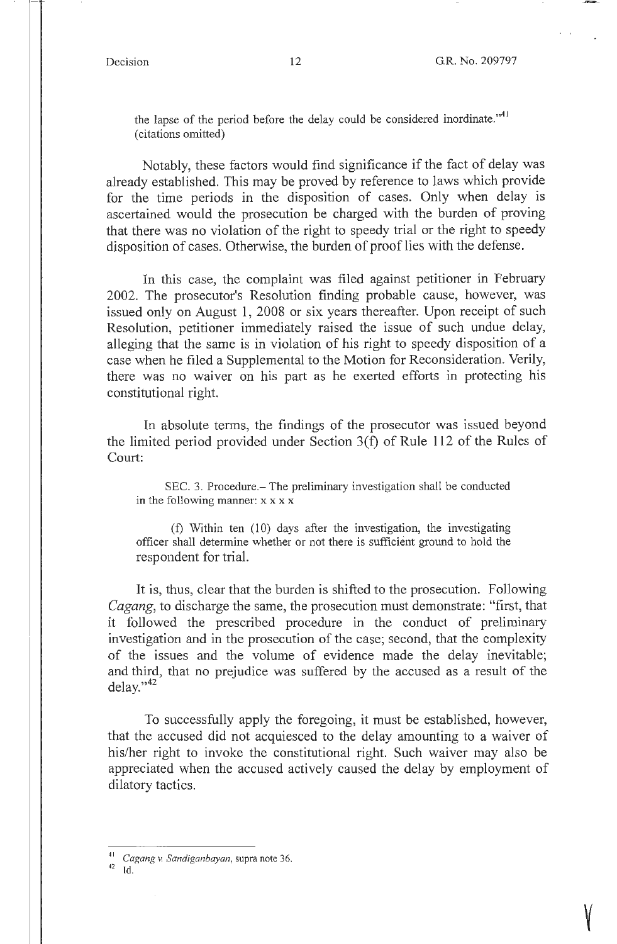y

the lapse of the period before the delay could be considered inordinate."<sup>41</sup> ( citations omitted)

Notably, these factors would find significance if the fact of delay was already established. This may be proved by reference to laws which provide for the time periods in the disposition of cases. Only when delay is ascertained would the prosecution be charged with the burden of proving that there was no violation of the right to speedy trial or the right to speedy disposition of cases. Otherwise, the burden of proof lies with the defense.

In this case, the complaint was filed against petitioner in February 2002. The prosecutor's Resolution finding probable cause, however, was issued only on August 1, 2008 or six years thereafter. Upon receipt of such Resolution, petitioner immediately raised the issue of such undue delay, alleging that the same is in violation of his right to speedy disposition of a case when he filed a Supplemental to the Motion for Reconsideration. Verily, there was no waiver on his part as he exerted efforts in protecting his constitutional right.

In absolute terms, the findings of the prosecutor was issued beyond the limited period provided under Section  $3(f)$  of Rule 112 of the Rules of Court:

SEC. 3. Procedure.- The preliminary investigation shall be conducted in the following manner:  $x \times x \times x$ 

(f) Within ten (10) days after the investigation, the investigating officer shall determine whether or not there is sufficient ground to hold the respondent for trial.

It is, thus, clear that the burden is shifted to the prosecution. Following *Cagang,* to discharge the same, the prosecution must demonstrate: "first, that it followed the prescribed procedure in the conduct of preliminary investigation and in the prosecution of the case; second, that the complexity of the issues and the volume of evidence made the delay inevitable; and third, that no prejudice was suffered by the accused as a result of the  $delay.<sup>42</sup>$ 

To successfully apply the foregoing, it must be established, however, that the accused did not acquiesced to the delay amounting to a waiver of his/her right to invoke the constitutional right. Such waiver may also be appreciated when the accused actively caused the delay by employment of dilatory tactics.

 $^{42}$  Id.

<sup>41</sup> C *agang* v. *Sandiganbayan,* supra note 36.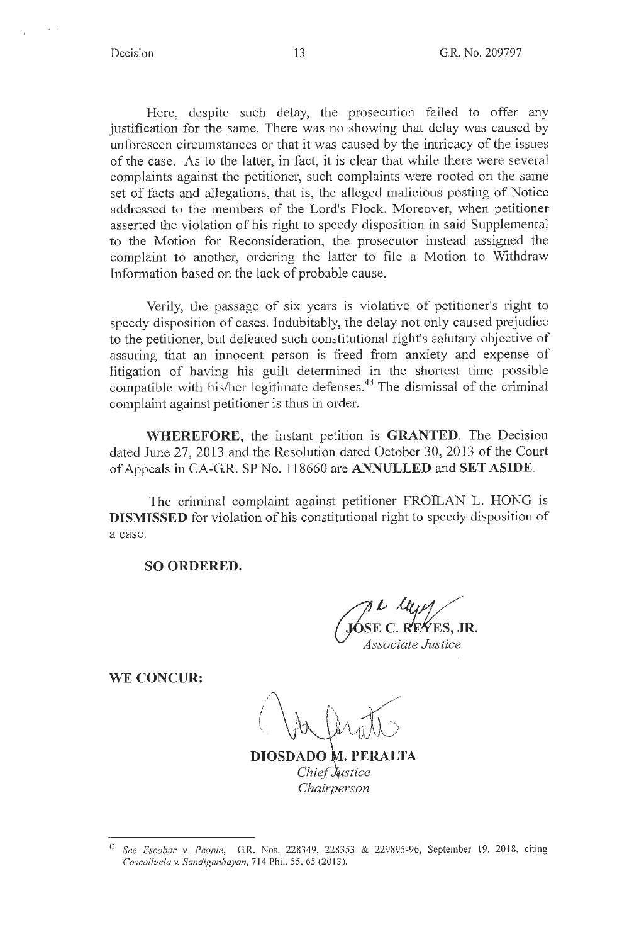Here, despite such delay, the prosecution failed to offer any justification for the same. There was no showing that delay was caused by unforeseen circumstances or that it was caused by the intricacy of the issues of the case. As to the latter, in fact, it is clear that while there were several complaints against the petitioner, such complaints were rooted on the same set of facts and allegations, that is, the alleged malicious posting of Notice addressed to the members of the Lord's Flock. Moreover, when petitioner asserted the violation of his right to speedy disposition in said Supplemental to the Motion for Reconsideration, the prosecutor instead assigned the complaint to another, ordering the latter to file a Motion to Withdraw Information based on the lack of probable cause.

Verily, the passage of six years is violative of petitioner's right to speedy disposition of cases. Indubitably, the delay not only caused prejudice to the petitioner, but defeated such constitutional right's salutary objective of assuring that an innocent person is freed from anxiety and expense of litigation of having his guilt determined in the shortest time possible compatible with his/her legitimate defenses.<sup>43</sup> The dismissal of the criminal complaint against petitioner is thus in order.

**WHEREFORE,** the instant petition is **GRANTED.** The Decision dated June 27, 2013 and the Resolution dated October 30, 2013 of the Court of Appeals in CA-GR. SP No. 118660 are **ANNULLED** and **SET ASIDE.** 

The criminal complaint against petitioner FROILAN L. HONG is **DISMISSED** for violation of his constitutional right to speedy disposition of a case.

**SO ORDERED.** 

**(fa.intervature)**<br>*Associate Justice* 

**WE CONCUR:** 

. **PERALTA**  *Chief tstice Chairperson* 

<sup>43</sup>*See Escobar v. People,* G.R. Nos. 228349, 228353 & 229895-96, September 19, 20 18, citing *Coscolluela v. Sandiganbayan,* 714 Phil. 55, 65(2013).